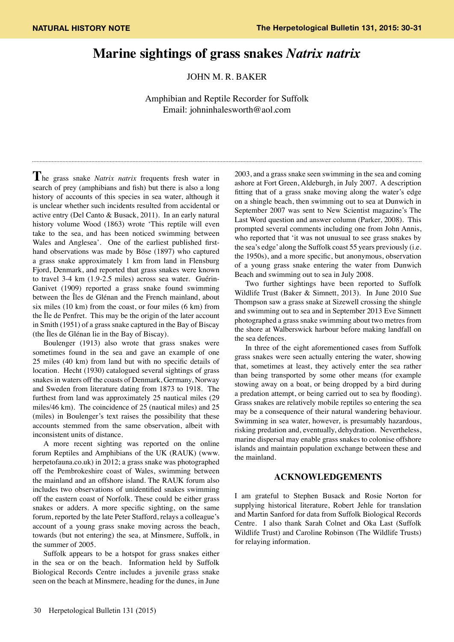## **Marine sightings of grass snakes** *Natrix natrix*

JOHN M. R. BAKER

Amphibian and Reptile Recorder for Suffolk Email: johninhalesworth@aol.com

**T**he grass snake *Natrix natrix* frequents fresh water in search of prey (amphibians and fish) but there is also a long history of accounts of this species in sea water, although it is unclear whether such incidents resulted from accidental or active entry (Del Canto & Busack, 2011). In an early natural history volume Wood (1863) wrote 'This reptile will even take to the sea, and has been noticed swimming between Wales and Anglesea'. One of the earliest published firsthand observations was made by Böse (1897) who captured a grass snake approximately 1 km from land in Flensburg Fjord, Denmark, and reported that grass snakes were known to travel 3-4 km (1.9-2.5 miles) across sea water. Guérin-Ganivet (1909) reported a grass snake found swimming between the Îles de Glénan and the French mainland, about six miles (10 km) from the coast, or four miles (6 km) from the Île de Penfret. This may be the origin of the later account in Smith (1951) of a grass snake captured in the Bay of Biscay (the Îles de Glénan lie in the Bay of Biscay).

Boulenger (1913) also wrote that grass snakes were sometimes found in the sea and gave an example of one 25 miles (40 km) from land but with no specific details of location. Hecht (1930) catalogued several sightings of grass snakes in waters off the coasts of Denmark, Germany, Norway and Sweden from literature dating from 1873 to 1918. The furthest from land was approximately 25 nautical miles (29 miles/46 km). The coincidence of 25 (nautical miles) and 25 (miles) in Boulenger's text raises the possibility that these accounts stemmed from the same observation, albeit with inconsistent units of distance.

A more recent sighting was reported on the online forum Reptiles and Amphibians of the UK (RAUK) (www. herpetofauna.co.uk) in 2012; a grass snake was photographed off the Pembrokeshire coast of Wales, swimming between the mainland and an offshore island. The RAUK forum also includes two observations of unidentified snakes swimming off the eastern coast of Norfolk. These could be either grass snakes or adders. A more specific sighting, on the same forum, reported by the late Peter Stafford, relays a colleague's account of a young grass snake moving across the beach, towards (but not entering) the sea, at Minsmere, Suffolk, in the summer of 2005.

Suffolk appears to be a hotspot for grass snakes either in the sea or on the beach. Information held by Suffolk Biological Records Centre includes a juvenile grass snake seen on the beach at Minsmere, heading for the dunes, in June

2003, and a grass snake seen swimming in the sea and coming ashore at Fort Green, Aldeburgh, in July 2007. A description fitting that of a grass snake moving along the water's edge on a shingle beach, then swimming out to sea at Dunwich in September 2007 was sent to New Scientist magazine's The Last Word question and answer column (Parker, 2008). This prompted several comments including one from John Annis, who reported that 'it was not unusual to see grass snakes by the sea's edge' along the Suffolk coast 55 years previously (i.e. the 1950s), and a more specific, but anonymous, observation of a young grass snake entering the water from Dunwich Beach and swimming out to sea in July 2008.

Two further sightings have been reported to Suffolk Wildlife Trust (Baker & Simnett, 2013). In June 2010 Sue Thompson saw a grass snake at Sizewell crossing the shingle and swimming out to sea and in September 2013 Eve Simnett photographed a grass snake swimming about two metres from the shore at Walberswick harbour before making landfall on the sea defences.

In three of the eight aforementioned cases from Suffolk grass snakes were seen actually entering the water, showing that, sometimes at least, they actively enter the sea rather than being transported by some other means (for example stowing away on a boat, or being dropped by a bird during a predation attempt, or being carried out to sea by flooding). Grass snakes are relatively mobile reptiles so entering the sea may be a consequence of their natural wandering behaviour. Swimming in sea water, however, is presumably hazardous, risking predation and, eventually, dehydration. Nevertheless, marine dispersal may enable grass snakes to colonise offshore islands and maintain population exchange between these and the mainland.

## **ACKNOWLEDGEMENTS**

I am grateful to Stephen Busack and Rosie Norton for supplying historical literature, Robert Jehle for translation and Martin Sanford for data from Suffolk Biological Records Centre. I also thank Sarah Colnet and Oka Last (Suffolk Wildlife Trust) and Caroline Robinson (The Wildlife Trusts) for relaying information.